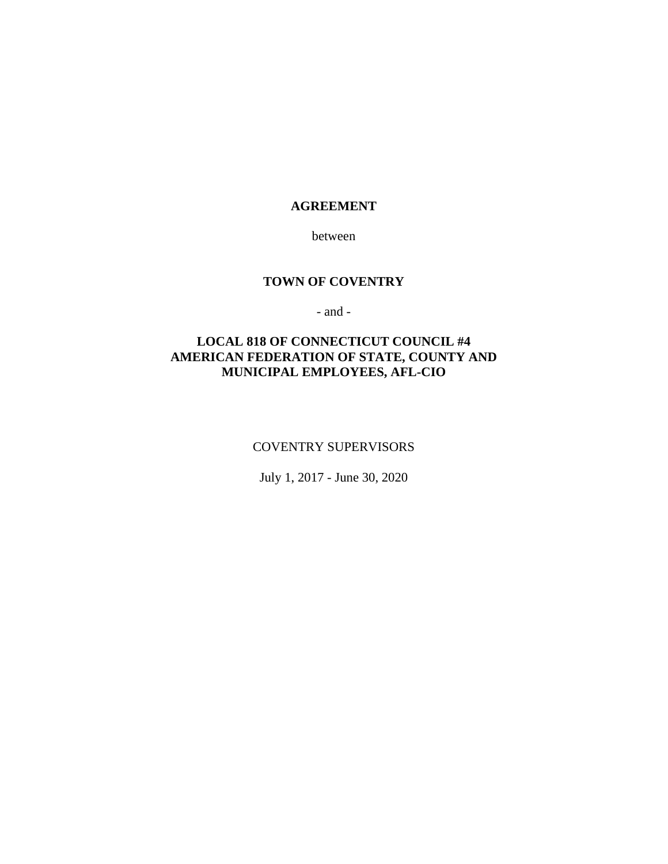# **AGREEMENT**

between

#### **TOWN OF COVENTRY**

- and -

# **LOCAL 818 OF CONNECTICUT COUNCIL #4 AMERICAN FEDERATION OF STATE, COUNTY AND MUNICIPAL EMPLOYEES, AFL-CIO**

#### COVENTRY SUPERVISORS

July 1, 2017 - June 30, 2020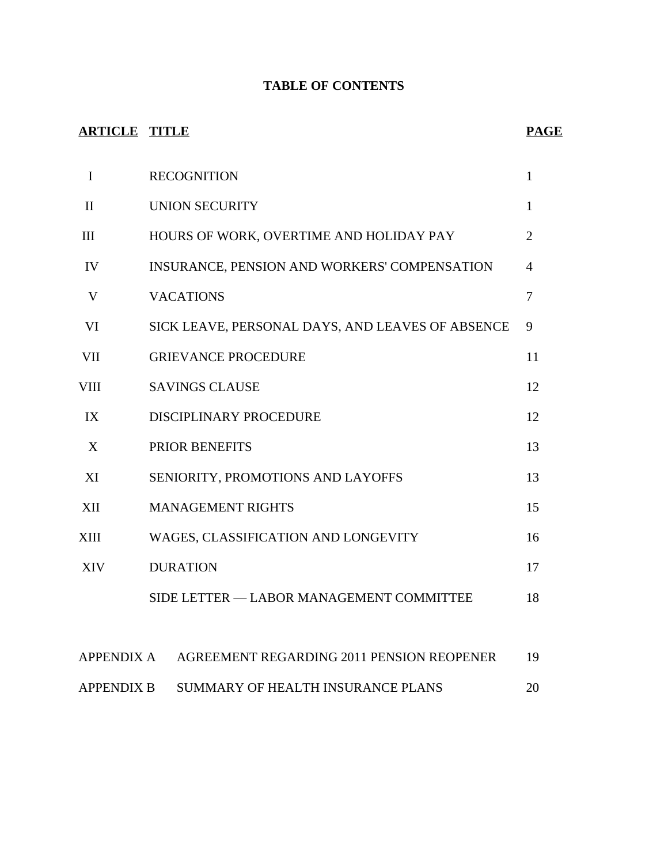# **TABLE OF CONTENTS**

# **ARTICLE TITLE PAGE**

| $\mathbf I$  | <b>RECOGNITION</b>                               | $\mathbf{1}$   |
|--------------|--------------------------------------------------|----------------|
| $\mathbf{I}$ | <b>UNION SECURITY</b>                            | $\mathbf{1}$   |
| III          | HOURS OF WORK, OVERTIME AND HOLIDAY PAY          | $\overline{2}$ |
| IV           | INSURANCE, PENSION AND WORKERS' COMPENSATION     | 4              |
| V            | <b>VACATIONS</b>                                 | 7              |
| VI           | SICK LEAVE, PERSONAL DAYS, AND LEAVES OF ABSENCE | 9              |
| <b>VII</b>   | <b>GRIEVANCE PROCEDURE</b>                       | 11             |
| VIII         | <b>SAVINGS CLAUSE</b>                            | 12             |
| IX           | DISCIPLINARY PROCEDURE                           | 12             |
| X            | PRIOR BENEFITS                                   | 13             |
| XI           | SENIORITY, PROMOTIONS AND LAYOFFS                | 13             |
| XII          | <b>MANAGEMENT RIGHTS</b>                         | 15             |
| XIII         | WAGES, CLASSIFICATION AND LONGEVITY              | 16             |
| XIV          | <b>DURATION</b>                                  | 17             |
|              | SIDE LETTER — LABOR MANAGEMENT COMMITTEE         | 18             |
|              |                                                  |                |

| APPENDIX A        | AGREEMENT REGARDING 2011 PENSION REOPENER | 19 |
|-------------------|-------------------------------------------|----|
| <b>APPENDIX B</b> | SUMMARY OF HEALTH INSURANCE PLANS         | 20 |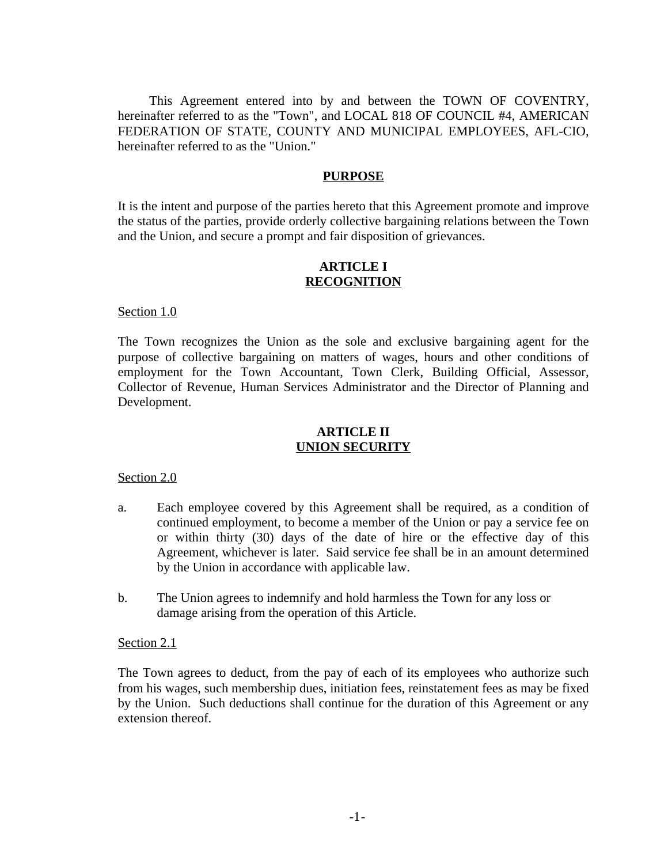This Agreement entered into by and between the TOWN OF COVENTRY, hereinafter referred to as the "Town", and LOCAL 818 OF COUNCIL #4, AMERICAN FEDERATION OF STATE, COUNTY AND MUNICIPAL EMPLOYEES, AFL-CIO, hereinafter referred to as the "Union."

#### **PURPOSE**

It is the intent and purpose of the parties hereto that this Agreement promote and improve the status of the parties, provide orderly collective bargaining relations between the Town and the Union, and secure a prompt and fair disposition of grievances.

# **ARTICLE I RECOGNITION**

#### Section 1.0

The Town recognizes the Union as the sole and exclusive bargaining agent for the purpose of collective bargaining on matters of wages, hours and other conditions of employment for the Town Accountant, Town Clerk, Building Official, Assessor, Collector of Revenue, Human Services Administrator and the Director of Planning and Development.

# **ARTICLE II UNION SECURITY**

#### Section 2.0

- a. Each employee covered by this Agreement shall be required, as a condition of continued employment, to become a member of the Union or pay a service fee on or within thirty (30) days of the date of hire or the effective day of this Agreement, whichever is later. Said service fee shall be in an amount determined by the Union in accordance with applicable law.
- b. The Union agrees to indemnify and hold harmless the Town for any loss or damage arising from the operation of this Article.

#### Section 2.1

The Town agrees to deduct, from the pay of each of its employees who authorize such from his wages, such membership dues, initiation fees, reinstatement fees as may be fixed by the Union. Such deductions shall continue for the duration of this Agreement or any extension thereof.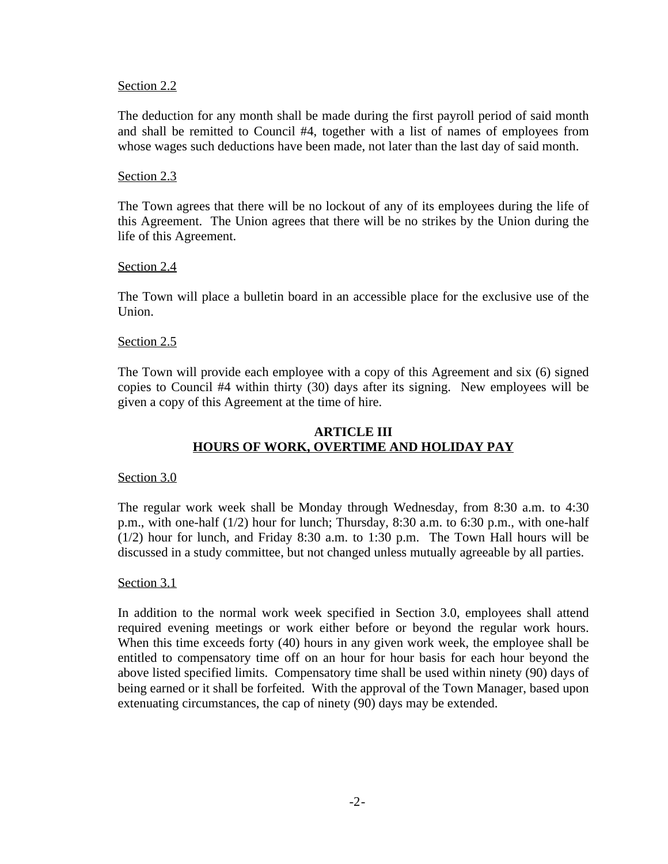## Section 2.2

The deduction for any month shall be made during the first payroll period of said month and shall be remitted to Council #4, together with a list of names of employees from whose wages such deductions have been made, not later than the last day of said month.

# Section 2.3

The Town agrees that there will be no lockout of any of its employees during the life of this Agreement. The Union agrees that there will be no strikes by the Union during the life of this Agreement.

# Section 2.4

The Town will place a bulletin board in an accessible place for the exclusive use of the Union.

# Section 2.5

The Town will provide each employee with a copy of this Agreement and six (6) signed copies to Council #4 within thirty (30) days after its signing. New employees will be given a copy of this Agreement at the time of hire.

# **ARTICLE III HOURS OF WORK, OVERTIME AND HOLIDAY PAY**

# Section 3.0

The regular work week shall be Monday through Wednesday, from 8:30 a.m. to 4:30 p.m., with one-half (1/2) hour for lunch; Thursday, 8:30 a.m. to 6:30 p.m., with one-half (1/2) hour for lunch, and Friday 8:30 a.m. to 1:30 p.m. The Town Hall hours will be discussed in a study committee, but not changed unless mutually agreeable by all parties.

# Section 3.1

In addition to the normal work week specified in Section 3.0, employees shall attend required evening meetings or work either before or beyond the regular work hours. When this time exceeds forty (40) hours in any given work week, the employee shall be entitled to compensatory time off on an hour for hour basis for each hour beyond the above listed specified limits. Compensatory time shall be used within ninety (90) days of being earned or it shall be forfeited. With the approval of the Town Manager, based upon extenuating circumstances, the cap of ninety (90) days may be extended.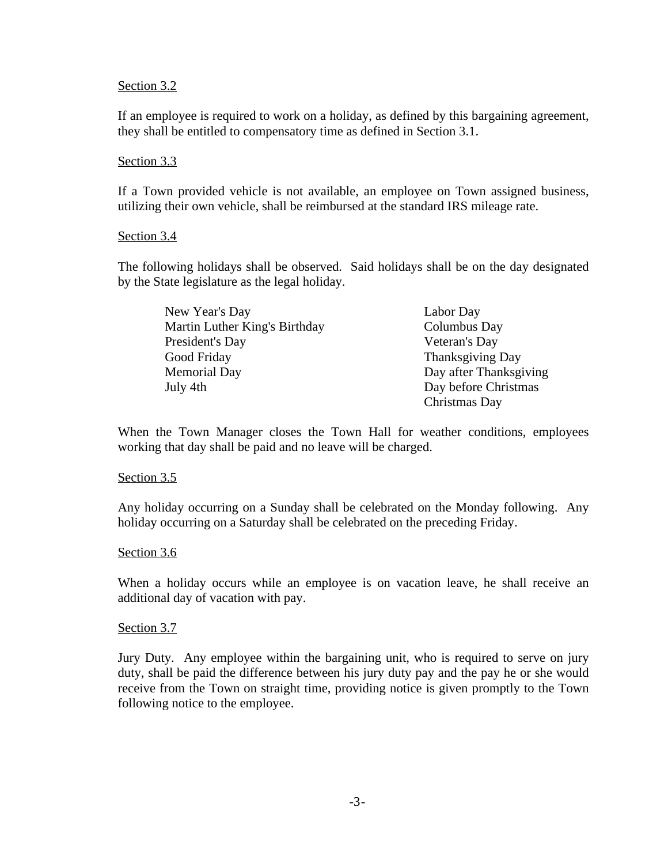### Section 3.2

If an employee is required to work on a holiday, as defined by this bargaining agreement, they shall be entitled to compensatory time as defined in Section 3.1.

# Section 3.3

If a Town provided vehicle is not available, an employee on Town assigned business, utilizing their own vehicle, shall be reimbursed at the standard IRS mileage rate.

# Section 3.4

The following holidays shall be observed. Said holidays shall be on the day designated by the State legislature as the legal holiday.

| New Year's Day                | Labor Day              |
|-------------------------------|------------------------|
| Martin Luther King's Birthday | Columbus Day           |
| President's Day               | Veteran's Day          |
| Good Friday                   | Thanksgiving Day       |
| <b>Memorial Day</b>           | Day after Thanksgiving |
| July 4th                      | Day before Christmas   |
|                               | Christmas Day          |

When the Town Manager closes the Town Hall for weather conditions, employees working that day shall be paid and no leave will be charged.

#### Section 3.5

Any holiday occurring on a Sunday shall be celebrated on the Monday following. Any holiday occurring on a Saturday shall be celebrated on the preceding Friday.

#### Section 3.6

When a holiday occurs while an employee is on vacation leave, he shall receive an additional day of vacation with pay.

# Section 3.7

Jury Duty. Any employee within the bargaining unit, who is required to serve on jury duty, shall be paid the difference between his jury duty pay and the pay he or she would receive from the Town on straight time, providing notice is given promptly to the Town following notice to the employee.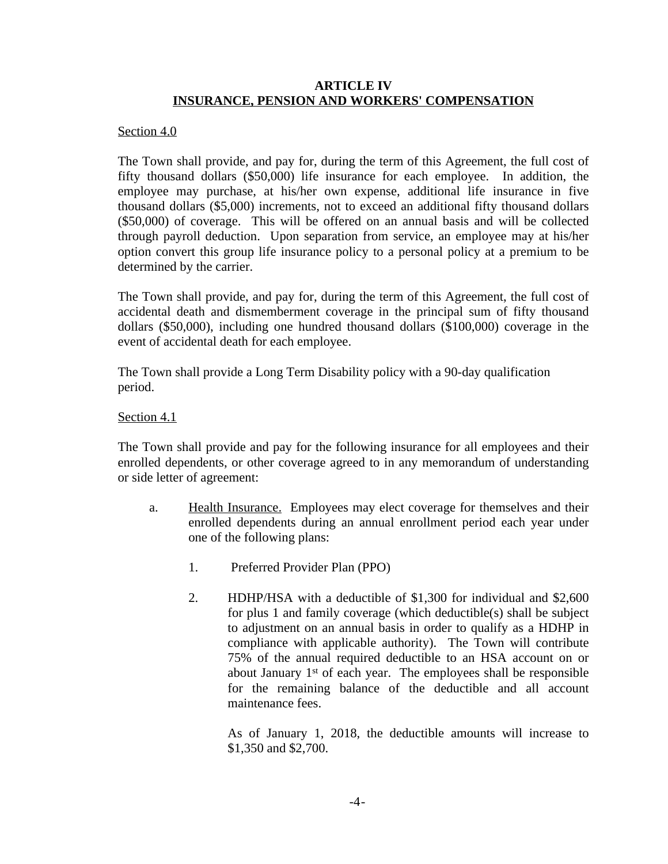# **ARTICLE IV INSURANCE, PENSION AND WORKERS' COMPENSATION**

## Section 4.0

The Town shall provide, and pay for, during the term of this Agreement, the full cost of fifty thousand dollars (\$50,000) life insurance for each employee. In addition, the employee may purchase, at his/her own expense, additional life insurance in five thousand dollars (\$5,000) increments, not to exceed an additional fifty thousand dollars (\$50,000) of coverage. This will be offered on an annual basis and will be collected through payroll deduction. Upon separation from service, an employee may at his/her option convert this group life insurance policy to a personal policy at a premium to be determined by the carrier.

The Town shall provide, and pay for, during the term of this Agreement, the full cost of accidental death and dismemberment coverage in the principal sum of fifty thousand dollars (\$50,000), including one hundred thousand dollars (\$100,000) coverage in the event of accidental death for each employee.

The Town shall provide a Long Term Disability policy with a 90-day qualification period.

Section 4.1

The Town shall provide and pay for the following insurance for all employees and their enrolled dependents, or other coverage agreed to in any memorandum of understanding or side letter of agreement:

- a. Health Insurance. Employees may elect coverage for themselves and their enrolled dependents during an annual enrollment period each year under one of the following plans:
	- 1. Preferred Provider Plan (PPO)
	- 2. HDHP/HSA with a deductible of \$1,300 for individual and \$2,600 for plus 1 and family coverage (which deductible(s) shall be subject to adjustment on an annual basis in order to qualify as a HDHP in compliance with applicable authority). The Town will contribute 75% of the annual required deductible to an HSA account on or about January 1<sup>st</sup> of each year. The employees shall be responsible for the remaining balance of the deductible and all account maintenance fees.

As of January 1, 2018, the deductible amounts will increase to \$1,350 and \$2,700.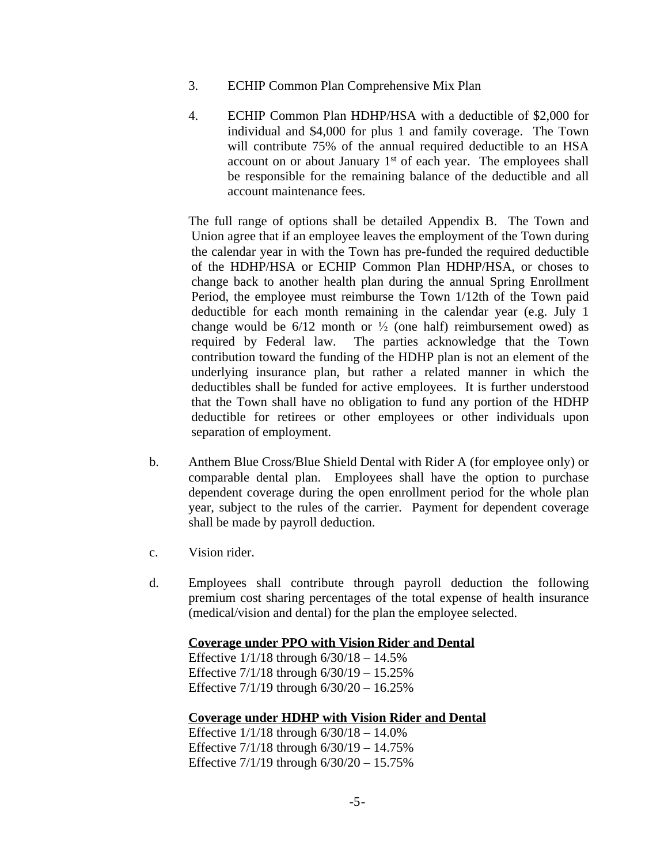- 3. ECHIP Common Plan Comprehensive Mix Plan
- 4. ECHIP Common Plan HDHP/HSA with a deductible of \$2,000 for individual and \$4,000 for plus 1 and family coverage. The Town will contribute 75% of the annual required deductible to an HSA account on or about January 1<sup>st</sup> of each year. The employees shall be responsible for the remaining balance of the deductible and all account maintenance fees.

The full range of options shall be detailed Appendix B. The Town and Union agree that if an employee leaves the employment of the Town during the calendar year in with the Town has pre-funded the required deductible of the HDHP/HSA or ECHIP Common Plan HDHP/HSA, or choses to change back to another health plan during the annual Spring Enrollment Period, the employee must reimburse the Town 1/12th of the Town paid deductible for each month remaining in the calendar year (e.g. July 1 change would be  $6/12$  month or  $\frac{1}{2}$  (one half) reimbursement owed) as required by Federal law. The parties acknowledge that the Town contribution toward the funding of the HDHP plan is not an element of the underlying insurance plan, but rather a related manner in which the deductibles shall be funded for active employees. It is further understood that the Town shall have no obligation to fund any portion of the HDHP deductible for retirees or other employees or other individuals upon separation of employment.

- b. Anthem Blue Cross/Blue Shield Dental with Rider A (for employee only) or comparable dental plan. Employees shall have the option to purchase dependent coverage during the open enrollment period for the whole plan year, subject to the rules of the carrier. Payment for dependent coverage shall be made by payroll deduction.
- c. Vision rider.
- d. Employees shall contribute through payroll deduction the following premium cost sharing percentages of the total expense of health insurance (medical/vision and dental) for the plan the employee selected.

#### **Coverage under PPO with Vision Rider and Dental**

Effective  $1/1/18$  through  $6/30/18 - 14.5%$ Effective 7/1/18 through 6/30/19 – 15.25% Effective 7/1/19 through 6/30/20 – 16.25%

#### **Coverage under HDHP with Vision Rider and Dental**

Effective 1/1/18 through 6/30/18 – 14.0% Effective 7/1/18 through 6/30/19 – 14.75% Effective 7/1/19 through 6/30/20 – 15.75%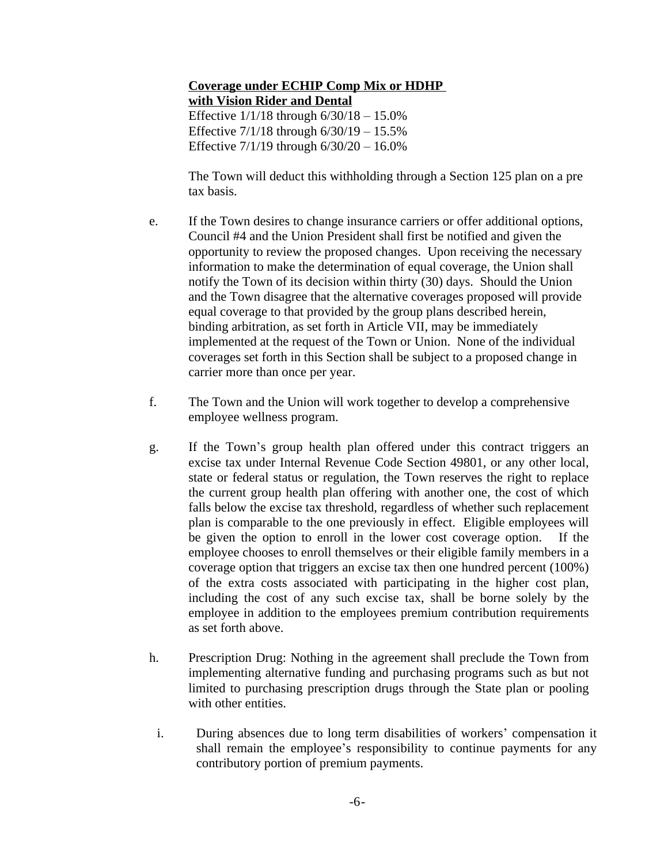# **Coverage under ECHIP Comp Mix or HDHP with Vision Rider and Dental** Effective 1/1/18 through 6/30/18 – 15.0% Effective 7/1/18 through 6/30/19 – 15.5% Effective 7/1/19 through 6/30/20 – 16.0%

The Town will deduct this withholding through a Section 125 plan on a pre tax basis.

- e. If the Town desires to change insurance carriers or offer additional options, Council #4 and the Union President shall first be notified and given the opportunity to review the proposed changes. Upon receiving the necessary information to make the determination of equal coverage, the Union shall notify the Town of its decision within thirty (30) days. Should the Union and the Town disagree that the alternative coverages proposed will provide equal coverage to that provided by the group plans described herein, binding arbitration, as set forth in Article VII, may be immediately implemented at the request of the Town or Union. None of the individual coverages set forth in this Section shall be subject to a proposed change in carrier more than once per year.
- f. The Town and the Union will work together to develop a comprehensive employee wellness program.
- g. If the Town's group health plan offered under this contract triggers an excise tax under Internal Revenue Code Section 49801, or any other local, state or federal status or regulation, the Town reserves the right to replace the current group health plan offering with another one, the cost of which falls below the excise tax threshold, regardless of whether such replacement plan is comparable to the one previously in effect. Eligible employees will be given the option to enroll in the lower cost coverage option. If the employee chooses to enroll themselves or their eligible family members in a coverage option that triggers an excise tax then one hundred percent (100%) of the extra costs associated with participating in the higher cost plan, including the cost of any such excise tax, shall be borne solely by the employee in addition to the employees premium contribution requirements as set forth above.
- h. Prescription Drug: Nothing in the agreement shall preclude the Town from implementing alternative funding and purchasing programs such as but not limited to purchasing prescription drugs through the State plan or pooling with other entities.
	- i. During absences due to long term disabilities of workers' compensation it shall remain the employee's responsibility to continue payments for any contributory portion of premium payments.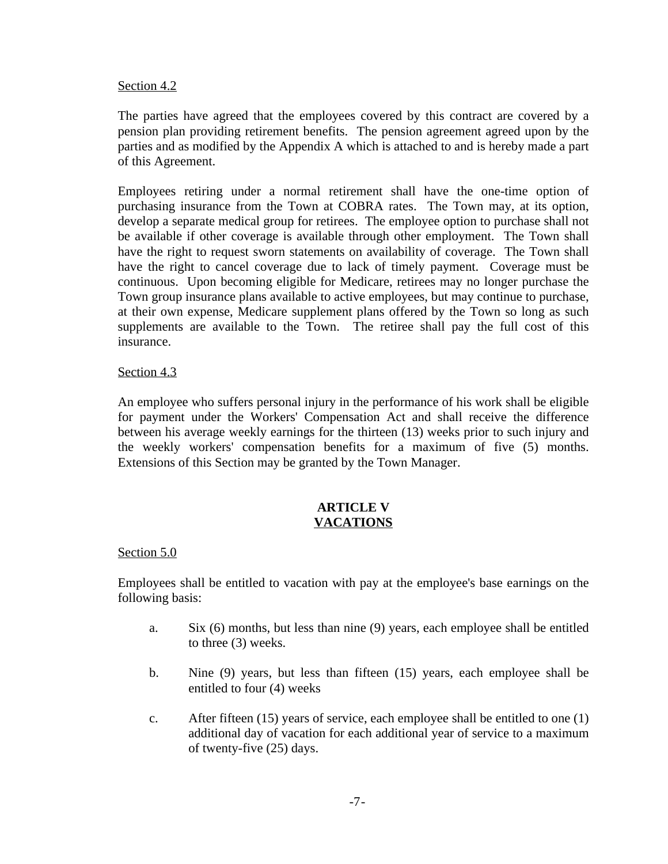## Section 4.2

The parties have agreed that the employees covered by this contract are covered by a pension plan providing retirement benefits. The pension agreement agreed upon by the parties and as modified by the Appendix A which is attached to and is hereby made a part of this Agreement.

Employees retiring under a normal retirement shall have the one-time option of purchasing insurance from the Town at COBRA rates. The Town may, at its option, develop a separate medical group for retirees. The employee option to purchase shall not be available if other coverage is available through other employment. The Town shall have the right to request sworn statements on availability of coverage. The Town shall have the right to cancel coverage due to lack of timely payment. Coverage must be continuous. Upon becoming eligible for Medicare, retirees may no longer purchase the Town group insurance plans available to active employees, but may continue to purchase, at their own expense, Medicare supplement plans offered by the Town so long as such supplements are available to the Town. The retiree shall pay the full cost of this insurance.

# Section 4.3

An employee who suffers personal injury in the performance of his work shall be eligible for payment under the Workers' Compensation Act and shall receive the difference between his average weekly earnings for the thirteen (13) weeks prior to such injury and the weekly workers' compensation benefits for a maximum of five (5) months. Extensions of this Section may be granted by the Town Manager.

# **ARTICLE V VACATIONS**

# Section 5.0

Employees shall be entitled to vacation with pay at the employee's base earnings on the following basis:

- a. Six (6) months, but less than nine (9) years, each employee shall be entitled to three (3) weeks.
- b. Nine (9) years, but less than fifteen (15) years, each employee shall be entitled to four (4) weeks
- c. After fifteen (15) years of service, each employee shall be entitled to one (1) additional day of vacation for each additional year of service to a maximum of twenty-five (25) days.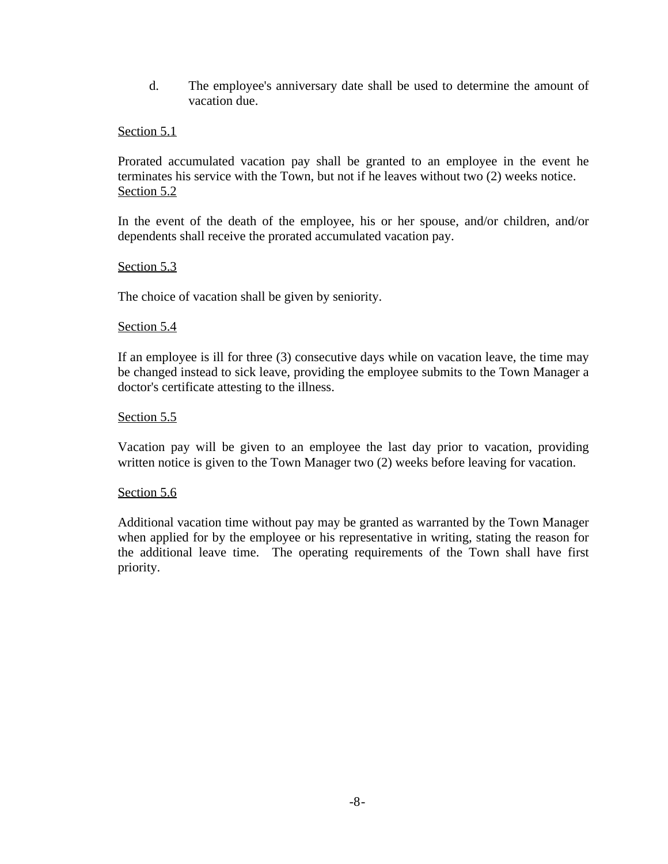d. The employee's anniversary date shall be used to determine the amount of vacation due.

# Section 5.1

Prorated accumulated vacation pay shall be granted to an employee in the event he terminates his service with the Town, but not if he leaves without two (2) weeks notice. Section 5.2

In the event of the death of the employee, his or her spouse, and/or children, and/or dependents shall receive the prorated accumulated vacation pay.

Section 5.3

The choice of vacation shall be given by seniority.

#### Section 5.4

If an employee is ill for three (3) consecutive days while on vacation leave, the time may be changed instead to sick leave, providing the employee submits to the Town Manager a doctor's certificate attesting to the illness.

# Section 5.5

Vacation pay will be given to an employee the last day prior to vacation, providing written notice is given to the Town Manager two (2) weeks before leaving for vacation.

#### Section 5.6

Additional vacation time without pay may be granted as warranted by the Town Manager when applied for by the employee or his representative in writing, stating the reason for the additional leave time. The operating requirements of the Town shall have first priority.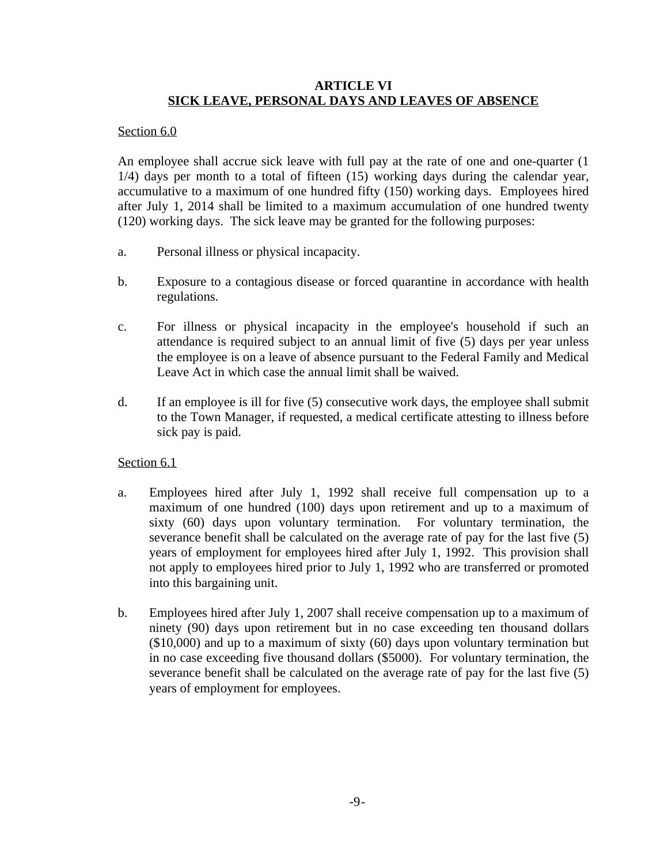# **ARTICLE VI SICK LEAVE, PERSONAL DAYS AND LEAVES OF ABSENCE**

# Section 6.0

An employee shall accrue sick leave with full pay at the rate of one and one-quarter (1 1/4) days per month to a total of fifteen (15) working days during the calendar year, accumulative to a maximum of one hundred fifty (150) working days. Employees hired after July 1, 2014 shall be limited to a maximum accumulation of one hundred twenty (120) working days. The sick leave may be granted for the following purposes:

- a. Personal illness or physical incapacity.
- b. Exposure to a contagious disease or forced quarantine in accordance with health regulations.
- c. For illness or physical incapacity in the employee's household if such an attendance is required subject to an annual limit of five (5) days per year unless the employee is on a leave of absence pursuant to the Federal Family and Medical Leave Act in which case the annual limit shall be waived.
- d. If an employee is ill for five (5) consecutive work days, the employee shall submit to the Town Manager, if requested, a medical certificate attesting to illness before sick pay is paid.

# Section 6.1

- a. Employees hired after July 1, 1992 shall receive full compensation up to a maximum of one hundred (100) days upon retirement and up to a maximum of sixty (60) days upon voluntary termination. For voluntary termination, the severance benefit shall be calculated on the average rate of pay for the last five (5) years of employment for employees hired after July 1, 1992. This provision shall not apply to employees hired prior to July 1, 1992 who are transferred or promoted into this bargaining unit.
- b. Employees hired after July 1, 2007 shall receive compensation up to a maximum of ninety (90) days upon retirement but in no case exceeding ten thousand dollars (\$10,000) and up to a maximum of sixty (60) days upon voluntary termination but in no case exceeding five thousand dollars (\$5000). For voluntary termination, the severance benefit shall be calculated on the average rate of pay for the last five (5) years of employment for employees.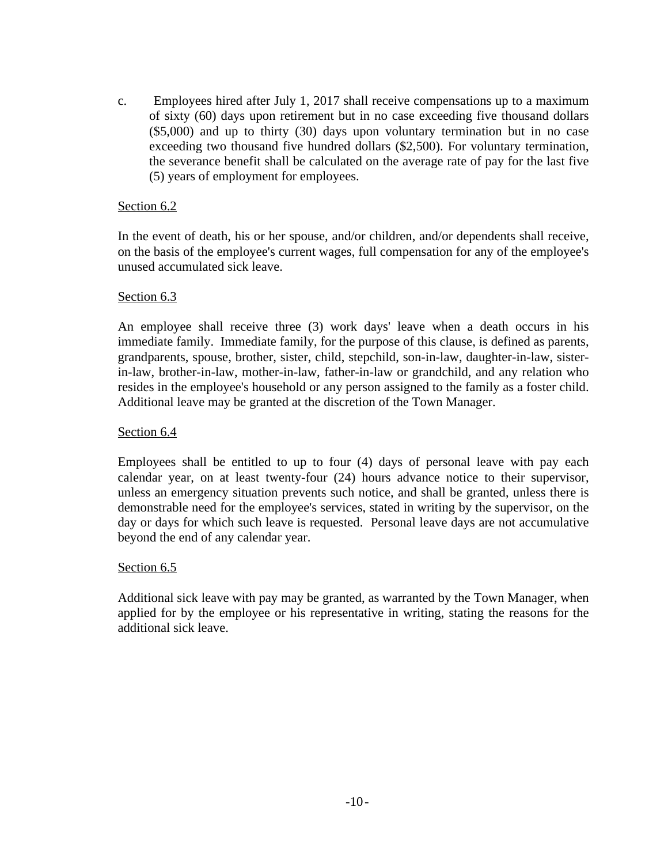c. Employees hired after July 1, 2017 shall receive compensations up to a maximum of sixty (60) days upon retirement but in no case exceeding five thousand dollars (\$5,000) and up to thirty (30) days upon voluntary termination but in no case exceeding two thousand five hundred dollars (\$2,500). For voluntary termination, the severance benefit shall be calculated on the average rate of pay for the last five (5) years of employment for employees.

# Section 6.2

In the event of death, his or her spouse, and/or children, and/or dependents shall receive, on the basis of the employee's current wages, full compensation for any of the employee's unused accumulated sick leave.

# Section 6.3

An employee shall receive three (3) work days' leave when a death occurs in his immediate family. Immediate family, for the purpose of this clause, is defined as parents, grandparents, spouse, brother, sister, child, stepchild, son-in-law, daughter-in-law, sisterin-law, brother-in-law, mother-in-law, father-in-law or grandchild, and any relation who resides in the employee's household or any person assigned to the family as a foster child. Additional leave may be granted at the discretion of the Town Manager.

# Section 6.4

Employees shall be entitled to up to four (4) days of personal leave with pay each calendar year, on at least twenty-four (24) hours advance notice to their supervisor, unless an emergency situation prevents such notice, and shall be granted, unless there is demonstrable need for the employee's services, stated in writing by the supervisor, on the day or days for which such leave is requested. Personal leave days are not accumulative beyond the end of any calendar year.

# Section 6.5

Additional sick leave with pay may be granted, as warranted by the Town Manager, when applied for by the employee or his representative in writing, stating the reasons for the additional sick leave.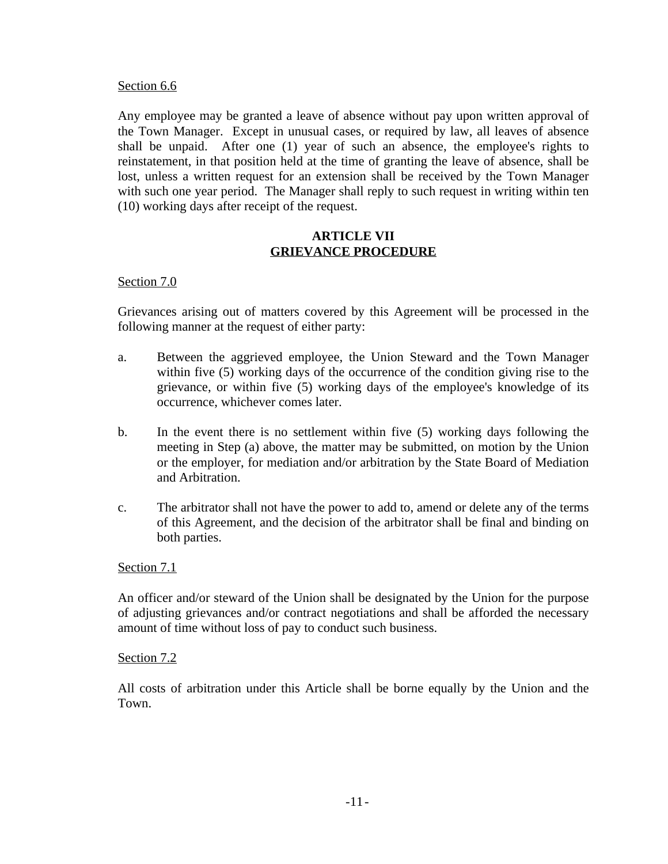## Section 6.6

Any employee may be granted a leave of absence without pay upon written approval of the Town Manager. Except in unusual cases, or required by law, all leaves of absence shall be unpaid. After one (1) year of such an absence, the employee's rights to reinstatement, in that position held at the time of granting the leave of absence, shall be lost, unless a written request for an extension shall be received by the Town Manager with such one year period. The Manager shall reply to such request in writing within ten (10) working days after receipt of the request.

# **ARTICLE VII GRIEVANCE PROCEDURE**

# Section 7.0

Grievances arising out of matters covered by this Agreement will be processed in the following manner at the request of either party:

- a. Between the aggrieved employee, the Union Steward and the Town Manager within five (5) working days of the occurrence of the condition giving rise to the grievance, or within five (5) working days of the employee's knowledge of its occurrence, whichever comes later.
- b. In the event there is no settlement within five (5) working days following the meeting in Step (a) above, the matter may be submitted, on motion by the Union or the employer, for mediation and/or arbitration by the State Board of Mediation and Arbitration.
- c. The arbitrator shall not have the power to add to, amend or delete any of the terms of this Agreement, and the decision of the arbitrator shall be final and binding on both parties.

# Section 7.1

An officer and/or steward of the Union shall be designated by the Union for the purpose of adjusting grievances and/or contract negotiations and shall be afforded the necessary amount of time without loss of pay to conduct such business.

#### Section 7.2

All costs of arbitration under this Article shall be borne equally by the Union and the Town.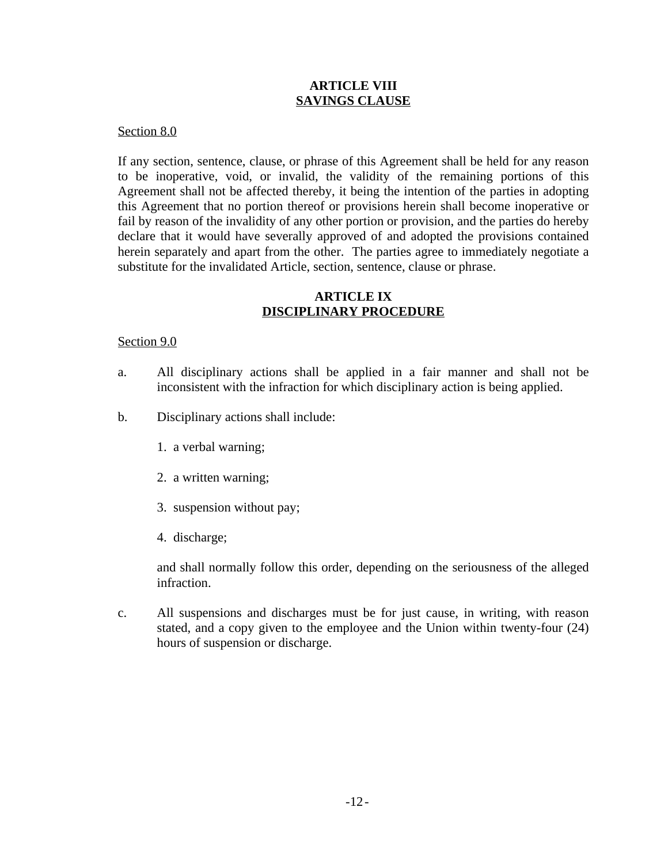# **ARTICLE VIII SAVINGS CLAUSE**

## Section 8.0

If any section, sentence, clause, or phrase of this Agreement shall be held for any reason to be inoperative, void, or invalid, the validity of the remaining portions of this Agreement shall not be affected thereby, it being the intention of the parties in adopting this Agreement that no portion thereof or provisions herein shall become inoperative or fail by reason of the invalidity of any other portion or provision, and the parties do hereby declare that it would have severally approved of and adopted the provisions contained herein separately and apart from the other. The parties agree to immediately negotiate a substitute for the invalidated Article, section, sentence, clause or phrase.

# **ARTICLE IX DISCIPLINARY PROCEDURE**

# Section 9.0

- a. All disciplinary actions shall be applied in a fair manner and shall not be inconsistent with the infraction for which disciplinary action is being applied.
- b. Disciplinary actions shall include:
	- 1. a verbal warning;
	- 2. a written warning;
	- 3. suspension without pay;
	- 4. discharge;

and shall normally follow this order, depending on the seriousness of the alleged infraction.

c. All suspensions and discharges must be for just cause, in writing, with reason stated, and a copy given to the employee and the Union within twenty-four (24) hours of suspension or discharge.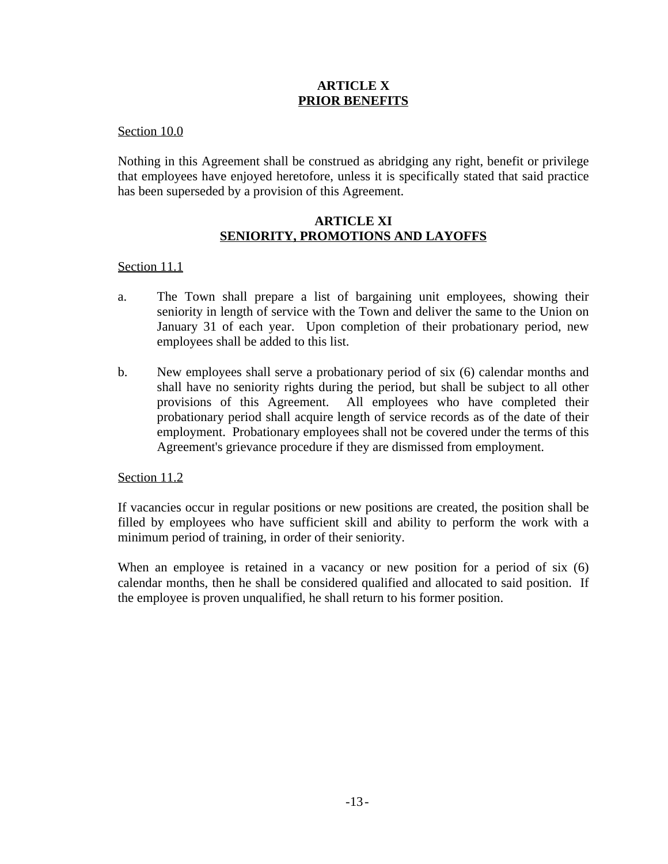# **ARTICLE X PRIOR BENEFITS**

Section 10.0

Nothing in this Agreement shall be construed as abridging any right, benefit or privilege that employees have enjoyed heretofore, unless it is specifically stated that said practice has been superseded by a provision of this Agreement.

# **ARTICLE XI SENIORITY, PROMOTIONS AND LAYOFFS**

# Section 11.1

- a. The Town shall prepare a list of bargaining unit employees, showing their seniority in length of service with the Town and deliver the same to the Union on January 31 of each year. Upon completion of their probationary period, new employees shall be added to this list.
- b. New employees shall serve a probationary period of six (6) calendar months and shall have no seniority rights during the period, but shall be subject to all other provisions of this Agreement. All employees who have completed their probationary period shall acquire length of service records as of the date of their employment. Probationary employees shall not be covered under the terms of this Agreement's grievance procedure if they are dismissed from employment.

# Section 11.2

If vacancies occur in regular positions or new positions are created, the position shall be filled by employees who have sufficient skill and ability to perform the work with a minimum period of training, in order of their seniority.

When an employee is retained in a vacancy or new position for a period of six  $(6)$ calendar months, then he shall be considered qualified and allocated to said position. If the employee is proven unqualified, he shall return to his former position.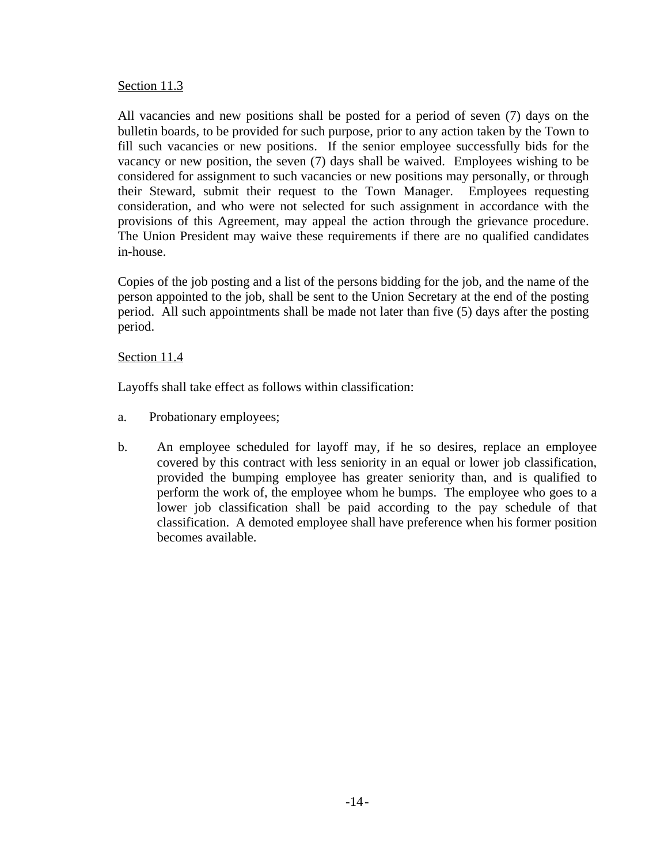# Section 11.3

All vacancies and new positions shall be posted for a period of seven (7) days on the bulletin boards, to be provided for such purpose, prior to any action taken by the Town to fill such vacancies or new positions. If the senior employee successfully bids for the vacancy or new position, the seven (7) days shall be waived. Employees wishing to be considered for assignment to such vacancies or new positions may personally, or through their Steward, submit their request to the Town Manager. Employees requesting consideration, and who were not selected for such assignment in accordance with the provisions of this Agreement, may appeal the action through the grievance procedure. The Union President may waive these requirements if there are no qualified candidates in-house.

Copies of the job posting and a list of the persons bidding for the job, and the name of the person appointed to the job, shall be sent to the Union Secretary at the end of the posting period. All such appointments shall be made not later than five (5) days after the posting period.

# Section 11.4

Layoffs shall take effect as follows within classification:

- a. Probationary employees;
- b. An employee scheduled for layoff may, if he so desires, replace an employee covered by this contract with less seniority in an equal or lower job classification, provided the bumping employee has greater seniority than, and is qualified to perform the work of, the employee whom he bumps. The employee who goes to a lower job classification shall be paid according to the pay schedule of that classification. A demoted employee shall have preference when his former position becomes available.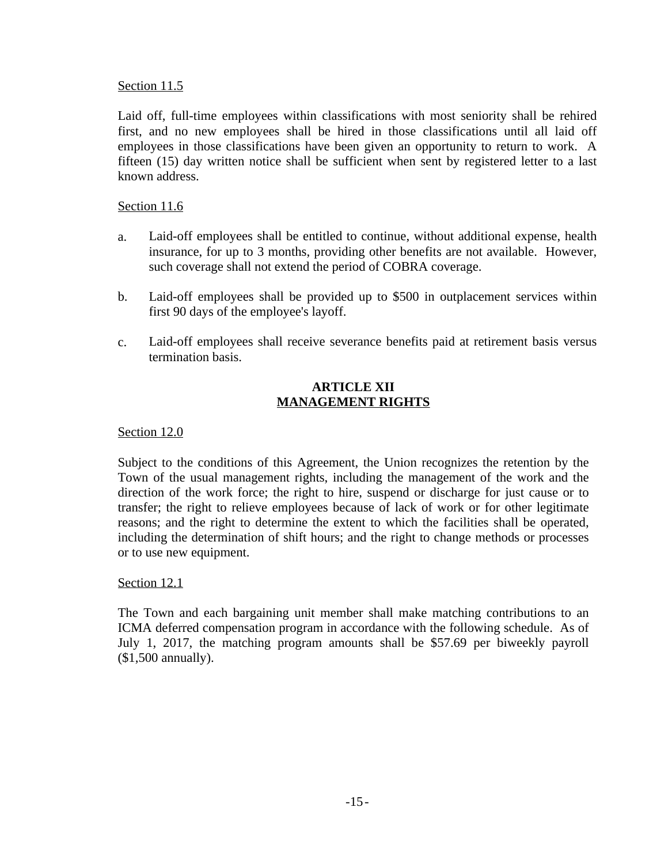# Section 11.5

Laid off, full-time employees within classifications with most seniority shall be rehired first, and no new employees shall be hired in those classifications until all laid off employees in those classifications have been given an opportunity to return to work. A fifteen (15) day written notice shall be sufficient when sent by registered letter to a last known address.

# Section 11.6

- a. Laid-off employees shall be entitled to continue, without additional expense, health insurance, for up to 3 months, providing other benefits are not available. However, such coverage shall not extend the period of COBRA coverage.
- b. Laid-off employees shall be provided up to \$500 in outplacement services within first 90 days of the employee's layoff.
- c. Laid-off employees shall receive severance benefits paid at retirement basis versus termination basis.

# **ARTICLE XII MANAGEMENT RIGHTS**

# Section 12.0

Subject to the conditions of this Agreement, the Union recognizes the retention by the Town of the usual management rights, including the management of the work and the direction of the work force; the right to hire, suspend or discharge for just cause or to transfer; the right to relieve employees because of lack of work or for other legitimate reasons; and the right to determine the extent to which the facilities shall be operated, including the determination of shift hours; and the right to change methods or processes or to use new equipment.

#### Section 12.1

The Town and each bargaining unit member shall make matching contributions to an ICMA deferred compensation program in accordance with the following schedule. As of July 1, 2017, the matching program amounts shall be \$57.69 per biweekly payroll (\$1,500 annually).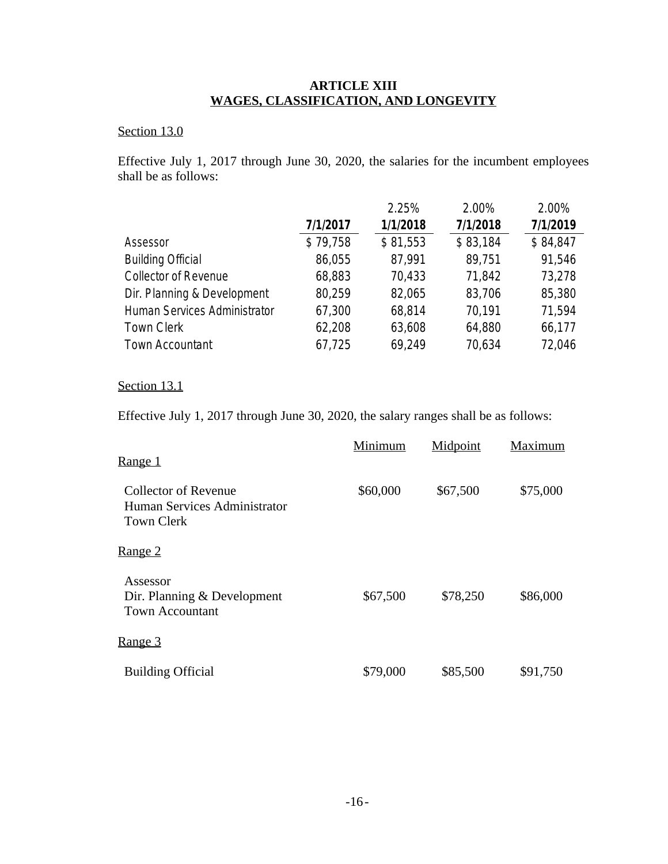# **ARTICLE XIII WAGES, CLASSIFICATION, AND LONGEVITY**

# Section 13.0

Effective July 1, 2017 through June 30, 2020, the salaries for the incumbent employees shall be as follows:

|                              |          | 2.25%    | 2.00%    | 2.00%    |
|------------------------------|----------|----------|----------|----------|
|                              | 7/1/2017 | 1/1/2018 | 7/1/2018 | 7/1/2019 |
| Assessor                     | \$79,758 | \$81,553 | \$83,184 | \$84,847 |
| <b>Building Official</b>     | 86,055   | 87,991   | 89,751   | 91,546   |
| Collector of Revenue         | 68,883   | 70,433   | 71,842   | 73,278   |
| Dir. Planning & Development  | 80,259   | 82,065   | 83,706   | 85,380   |
| Human Services Administrator | 67,300   | 68,814   | 70,191   | 71,594   |
| <b>Town Clerk</b>            | 62,208   | 63,608   | 64,880   | 66,177   |
| <b>Town Accountant</b>       | 67,725   | 69,249   | 70,634   | 72,046   |

# Section 13.1

Effective July 1, 2017 through June 30, 2020, the salary ranges shall be as follows:

| Range 1                                                                          | Minimum  | Midpoint | Maximum  |
|----------------------------------------------------------------------------------|----------|----------|----------|
| <b>Collector of Revenue</b><br>Human Services Administrator<br><b>Town Clerk</b> | \$60,000 | \$67,500 | \$75,000 |
| Range 2                                                                          |          |          |          |
| Assessor<br>Dir. Planning & Development<br><b>Town Accountant</b>                | \$67,500 | \$78,250 | \$86,000 |
| <u>Range 3</u>                                                                   |          |          |          |
| <b>Building Official</b>                                                         | \$79,000 | \$85,500 | \$91,750 |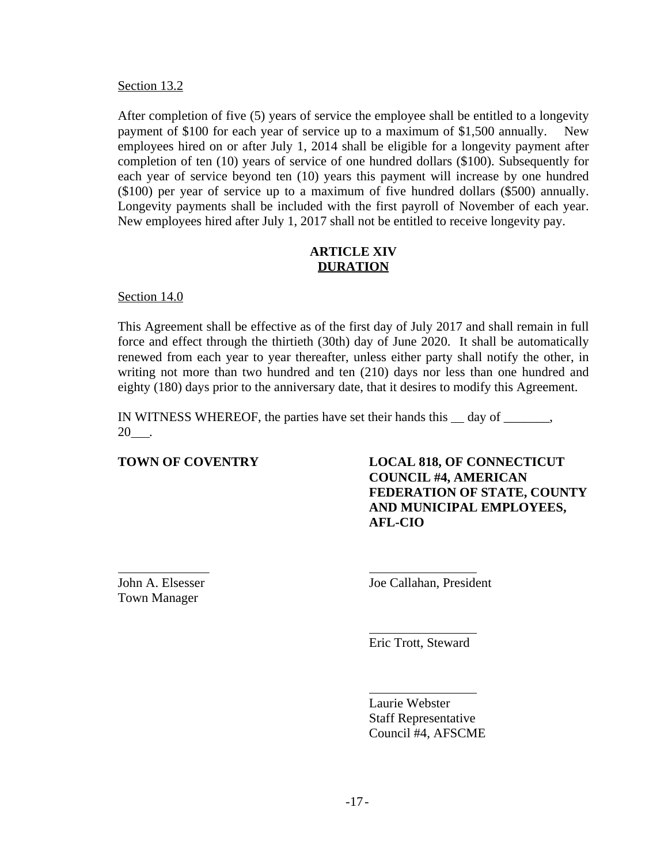#### Section 13.2

After completion of five (5) years of service the employee shall be entitled to a longevity payment of \$100 for each year of service up to a maximum of \$1,500 annually. New employees hired on or after July 1, 2014 shall be eligible for a longevity payment after completion of ten (10) years of service of one hundred dollars (\$100). Subsequently for each year of service beyond ten (10) years this payment will increase by one hundred (\$100) per year of service up to a maximum of five hundred dollars (\$500) annually. Longevity payments shall be included with the first payroll of November of each year. New employees hired after July 1, 2017 shall not be entitled to receive longevity pay.

# **ARTICLE XIV DURATION**

Section 14.0

This Agreement shall be effective as of the first day of July 2017 and shall remain in full force and effect through the thirtieth (30th) day of June 2020. It shall be automatically renewed from each year to year thereafter, unless either party shall notify the other, in writing not more than two hundred and ten (210) days nor less than one hundred and eighty (180) days prior to the anniversary date, that it desires to modify this Agreement.

IN WITNESS WHEREOF, the parties have set their hands this  $\_\_$  day of  $\_\_$  $20$ .

**TOWN OF COVENTRY LOCAL 818, OF CONNECTICUT COUNCIL #4, AMERICAN FEDERATION OF STATE, COUNTY AND MUNICIPAL EMPLOYEES, AFL-CIO**

Town Manager

<u> 1989 - Andrea State Barbara, amerikan personal di sebagai personal di sebagai personal di sebagai personal d</u> John A. Elsesser Joe Callahan, President

> Eric Trott, Steward

 Laurie Webster Staff Representative Council #4, AFSCME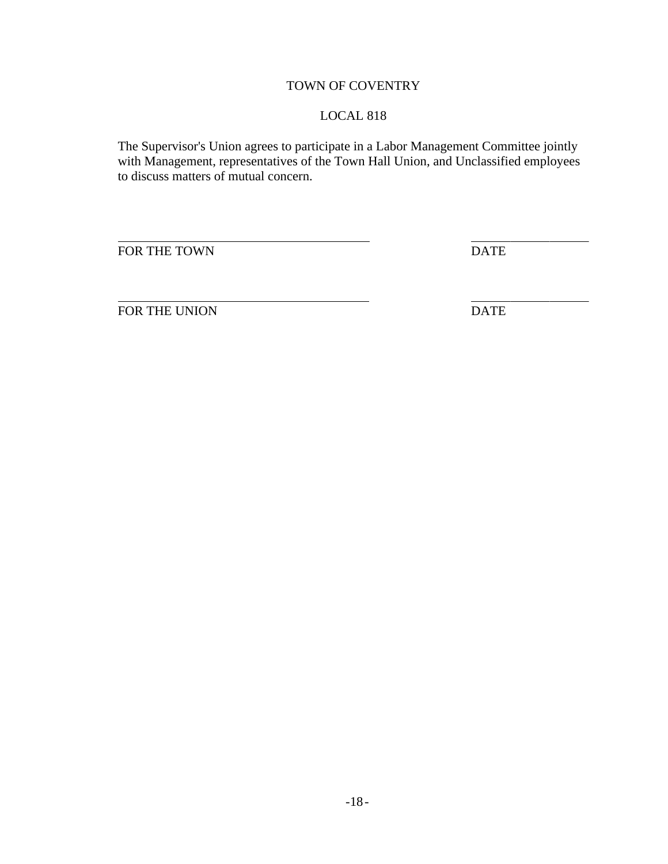# TOWN OF COVENTRY

# LOCAL 818

The Supervisor's Union agrees to participate in a Labor Management Committee jointly with Management, representatives of the Town Hall Union, and Unclassified employees to discuss matters of mutual concern.

 $\overline{a}$ FOR THE TOWN DATE

FOR THE UNION DATE

 $\overline{a}$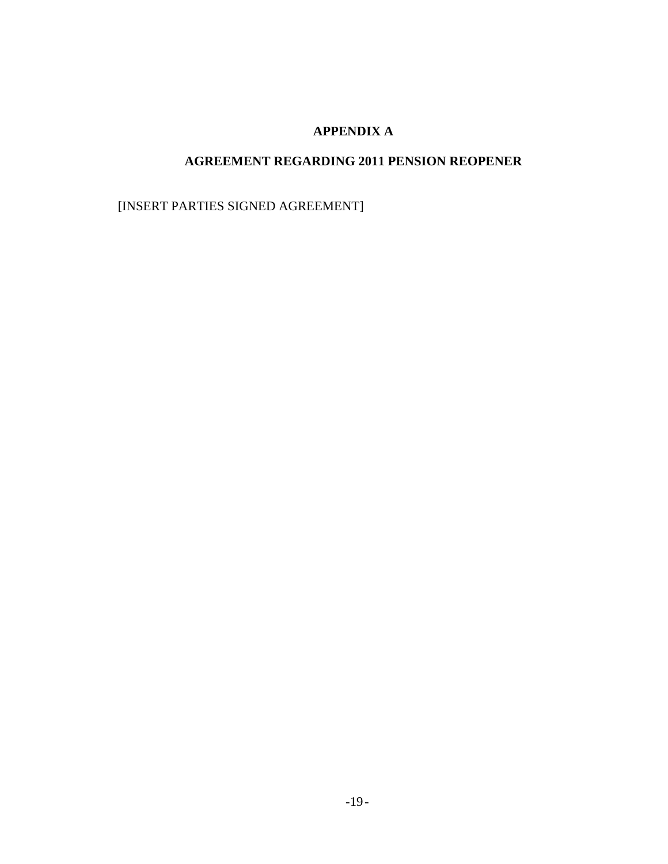# **APPENDIX A**

# **AGREEMENT REGARDING 2011 PENSION REOPENER**

[INSERT PARTIES SIGNED AGREEMENT]